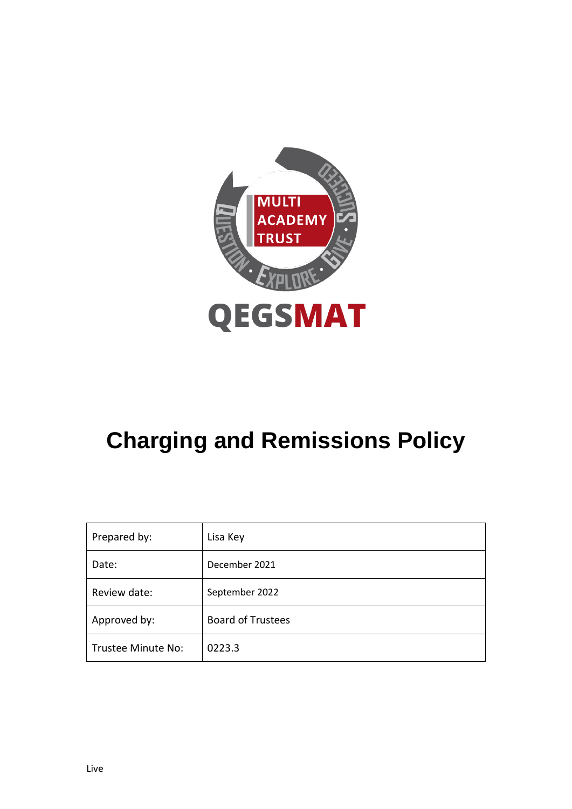

# **Charging and Remissions Policy**

| Prepared by:       | Lisa Key                 |
|--------------------|--------------------------|
| Date:              | December 2021            |
| Review date:       | September 2022           |
| Approved by:       | <b>Board of Trustees</b> |
| Trustee Minute No: | 0223.3                   |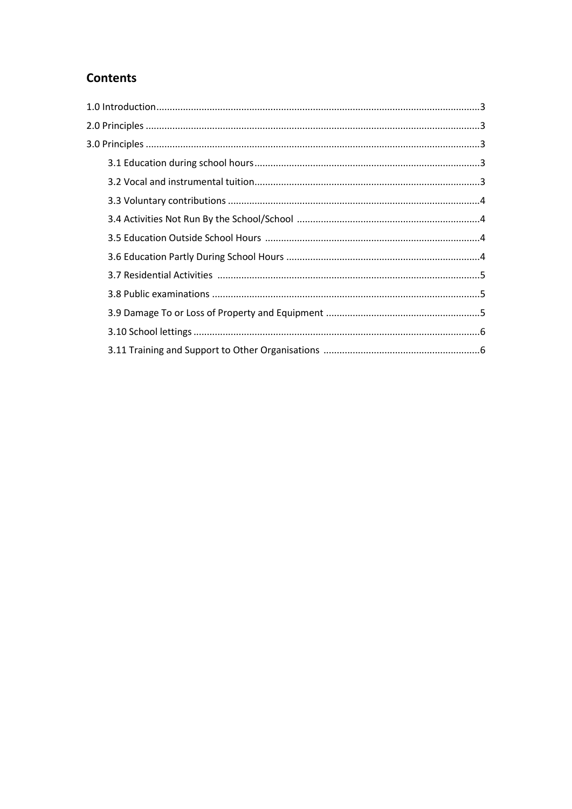# **Contents**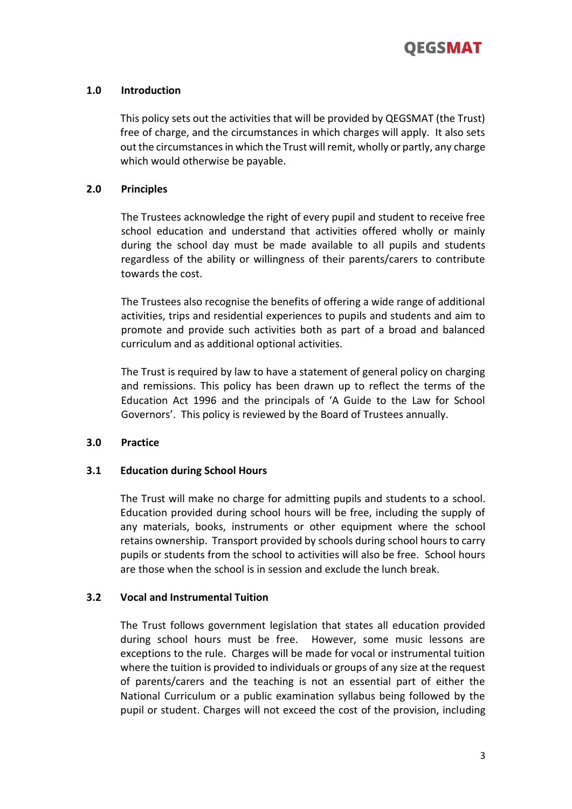

# **1.0 Introduction**

This policy sets out the activities that will be provided by QEGSMAT (the Trust) free of charge, and the circumstances in which charges will apply. It also sets out the circumstances in which the Trust will remit, wholly or partly, any charge which would otherwise be payable.

# **2.0 Principles**

The Trustees acknowledge the right of every pupil and student to receive free school education and understand that activities offered wholly or mainly during the school day must be made available to all pupils and students regardless of the ability or willingness of their parents/carers to contribute towards the cost.

The Trustees also recognise the benefits of offering a wide range of additional activities, trips and residential experiences to pupils and students and aim to promote and provide such activities both as part of a broad and balanced curriculum and as additional optional activities.

The Trust is required by law to have a statement of general policy on charging and remissions. This policy has been drawn up to reflect the terms of the Education Act 1996 and the principals of 'A Guide to the Law for School Governors'. This policy is reviewed by the Board of Trustees annually.

# **3.0 Practice**

# **3.1 Education during School Hours**

The Trust will make no charge for admitting pupils and students to a school. Education provided during school hours will be free, including the supply of any materials, books, instruments or other equipment where the school retains ownership. Transport provided by schools during school hours to carry pupils or students from the school to activities will also be free. School hours are those when the school is in session and exclude the lunch break.

# **3.2 Vocal and Instrumental Tuition**

The Trust follows government legislation that states all education provided during school hours must be free. However, some music lessons are exceptions to the rule. Charges will be made for vocal or instrumental tuition where the tuition is provided to individuals or groups of any size at the request of parents/carers and the teaching is not an essential part of either the National Curriculum or a public examination syllabus being followed by the pupil or student. Charges will not exceed the cost of the provision, including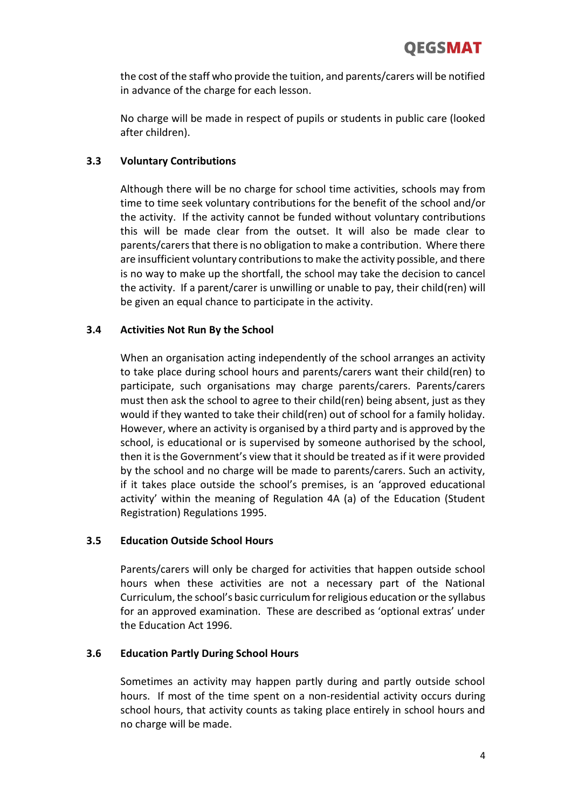the cost of the staff who provide the tuition, and parents/carers will be notified in advance of the charge for each lesson.

No charge will be made in respect of pupils or students in public care (looked after children).

# **3.3 Voluntary Contributions**

Although there will be no charge for school time activities, schools may from time to time seek voluntary contributions for the benefit of the school and/or the activity. If the activity cannot be funded without voluntary contributions this will be made clear from the outset. It will also be made clear to parents/carers that there is no obligation to make a contribution. Where there are insufficient voluntary contributions to make the activity possible, and there is no way to make up the shortfall, the school may take the decision to cancel the activity. If a parent/carer is unwilling or unable to pay, their child(ren) will be given an equal chance to participate in the activity.

# **3.4 Activities Not Run By the School**

When an organisation acting independently of the school arranges an activity to take place during school hours and parents/carers want their child(ren) to participate, such organisations may charge parents/carers. Parents/carers must then ask the school to agree to their child(ren) being absent, just as they would if they wanted to take their child(ren) out of school for a family holiday. However, where an activity is organised by a third party and is approved by the school, is educational or is supervised by someone authorised by the school, then it is the Government's view that it should be treated as if it were provided by the school and no charge will be made to parents/carers. Such an activity, if it takes place outside the school's premises, is an 'approved educational activity' within the meaning of Regulation 4A (a) of the Education (Student Registration) Regulations 1995.

# **3.5 Education Outside School Hours**

Parents/carers will only be charged for activities that happen outside school hours when these activities are not a necessary part of the National Curriculum, the school's basic curriculum for religious education or the syllabus for an approved examination. These are described as 'optional extras' under the Education Act 1996.

# **3.6 Education Partly During School Hours**

Sometimes an activity may happen partly during and partly outside school hours. If most of the time spent on a non-residential activity occurs during school hours, that activity counts as taking place entirely in school hours and no charge will be made.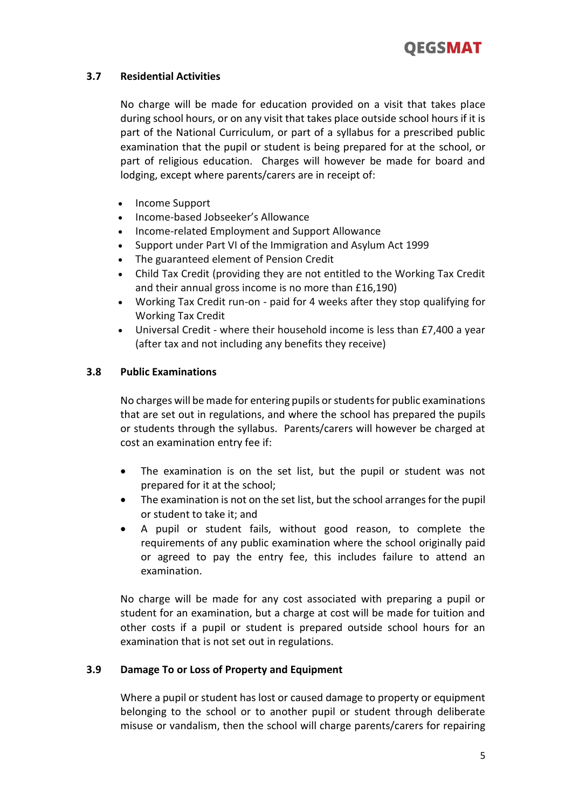

# **3.7 Residential Activities**

No charge will be made for education provided on a visit that takes place during school hours, or on any visit that takes place outside school hours if it is part of the National Curriculum, or part of a syllabus for a prescribed public examination that the pupil or student is being prepared for at the school, or part of religious education. Charges will however be made for board and lodging, except where parents/carers are in receipt of:

- Income Support
- Income-based Jobseeker's Allowance
- Income-related Employment and Support Allowance
- Support under Part VI of the Immigration and Asylum Act 1999
- The guaranteed element of Pension Credit
- Child Tax Credit (providing they are not entitled to the Working Tax Credit and their annual gross income is no more than £16,190)
- Working Tax Credit run-on paid for 4 weeks after they stop qualifying for Working Tax Credit
- Universal Credit where their household income is less than £7,400 a year (after tax and not including any benefits they receive)

# **3.8 Public Examinations**

No charges will be made for entering pupils or students for public examinations that are set out in regulations, and where the school has prepared the pupils or students through the syllabus. Parents/carers will however be charged at cost an examination entry fee if:

- The examination is on the set list, but the pupil or student was not prepared for it at the school;
- The examination is not on the set list, but the school arranges for the pupil or student to take it; and
- A pupil or student fails, without good reason, to complete the requirements of any public examination where the school originally paid or agreed to pay the entry fee, this includes failure to attend an examination.

No charge will be made for any cost associated with preparing a pupil or student for an examination, but a charge at cost will be made for tuition and other costs if a pupil or student is prepared outside school hours for an examination that is not set out in regulations.

# **3.9 Damage To or Loss of Property and Equipment**

Where a pupil or student has lost or caused damage to property or equipment belonging to the school or to another pupil or student through deliberate misuse or vandalism, then the school will charge parents/carers for repairing